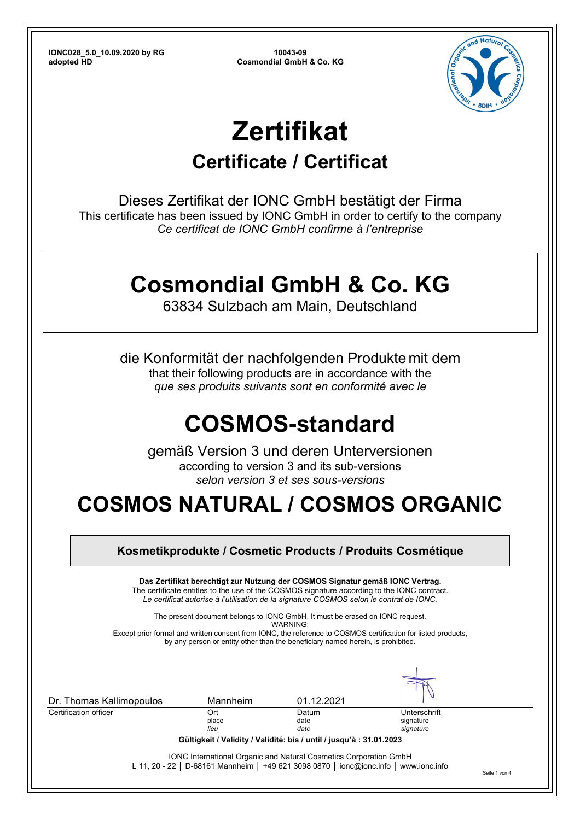

# **Zertifikat**

### **Certificate / Certificat**

Dieses Zertifikat der IONC GmbH bestätigt der Firma This certificate has been issued by IONC GmbH in order to certify to the company *Ce certificat de IONC GmbH confirme à l'entreprise*

## **Cosmondial GmbH & Co. KG**

63834 Sulzbach am Main, Deutschland

die Konformität der nachfolgenden Produkte mit dem that their following products are in accordance with the *que ses produits suivants sont en conformité avec le*

## **COSMOS-standard**

gemäß Version 3 und deren Unterversionen according to version 3 and its sub-versions *selon version 3 et ses sous-versions* 

## **COSMOS NATURAL / COSMOS ORGANIC**

|                      | Das Zertifikat berechtigt zur Nutzung der COSMOS Signatur gemäß IONC Vertrag. |                                        |                                                                                                                                                                                                                                                                                                                                                                                                                                                                             |
|----------------------|-------------------------------------------------------------------------------|----------------------------------------|-----------------------------------------------------------------------------------------------------------------------------------------------------------------------------------------------------------------------------------------------------------------------------------------------------------------------------------------------------------------------------------------------------------------------------------------------------------------------------|
|                      |                                                                               |                                        |                                                                                                                                                                                                                                                                                                                                                                                                                                                                             |
| Mannheim             | 01.12.2021                                                                    |                                        |                                                                                                                                                                                                                                                                                                                                                                                                                                                                             |
| Ort<br>place<br>lieu | Datum<br>date<br>date                                                         | Unterschrift<br>signature<br>signature |                                                                                                                                                                                                                                                                                                                                                                                                                                                                             |
|                      |                                                                               | WARNING:                               | The certificate entitles to the use of the COSMOS signature according to the IONC contract.<br>Le certificat autorise à l'utilisation de la signature COSMOS selon le contrat de IONC.<br>The present document belongs to IONC GmbH. It must be erased on IONC request.<br>Except prior formal and written consent from IONC, the reference to COSMOS certification for listed products,<br>by any person or entity other than the beneficiary named herein, is prohibited. |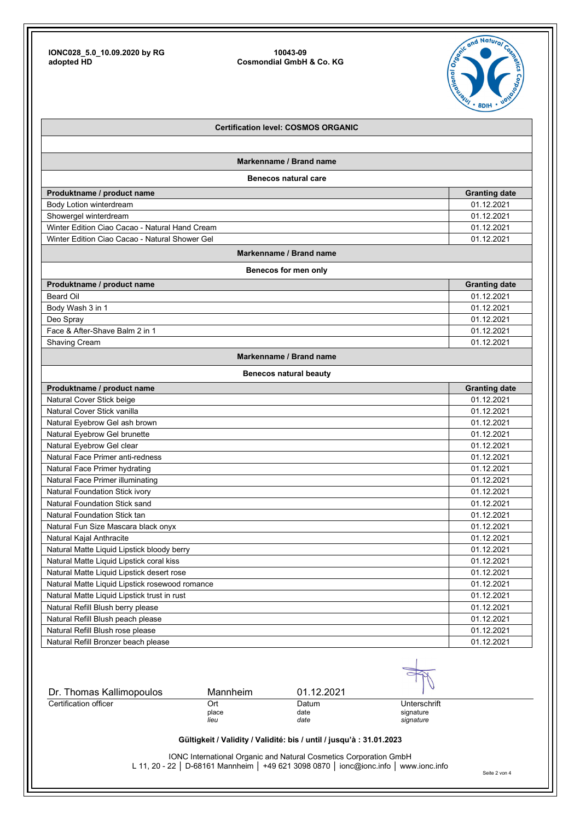

|                                                   |                      | <b>Certification level: COSMOS ORGANIC</b>                                            |                                        |                      |
|---------------------------------------------------|----------------------|---------------------------------------------------------------------------------------|----------------------------------------|----------------------|
|                                                   |                      |                                                                                       |                                        |                      |
|                                                   |                      | Markenname / Brand name                                                               |                                        |                      |
|                                                   |                      | <b>Benecos natural care</b>                                                           |                                        |                      |
| Produktname / product name                        |                      |                                                                                       |                                        | <b>Granting date</b> |
| Body Lotion winterdream                           |                      |                                                                                       |                                        | 01.12.2021           |
| Showergel winterdream                             |                      |                                                                                       |                                        | 01.12.2021           |
| Winter Edition Ciao Cacao - Natural Hand Cream    |                      |                                                                                       |                                        | 01.12.2021           |
| Winter Edition Ciao Cacao - Natural Shower Gel    |                      |                                                                                       |                                        | 01.12.2021           |
|                                                   |                      | Markenname / Brand name                                                               |                                        |                      |
|                                                   |                      | Benecos for men only                                                                  |                                        |                      |
| Produktname / product name                        |                      |                                                                                       |                                        | <b>Granting date</b> |
| <b>Beard Oil</b>                                  |                      |                                                                                       |                                        | 01.12.2021           |
| Body Wash 3 in 1                                  |                      |                                                                                       |                                        | 01.12.2021           |
| Deo Spray                                         |                      |                                                                                       |                                        | 01.12.2021           |
| Face & After-Shave Balm 2 in 1                    |                      |                                                                                       |                                        | 01.12.2021           |
| <b>Shaving Cream</b>                              |                      |                                                                                       |                                        | 01.12.2021           |
|                                                   |                      | Markenname / Brand name                                                               |                                        |                      |
|                                                   |                      | <b>Benecos natural beauty</b>                                                         |                                        |                      |
| Produktname / product name                        |                      |                                                                                       |                                        | <b>Granting date</b> |
| Natural Cover Stick beige                         |                      |                                                                                       |                                        | 01.12.2021           |
| Natural Cover Stick vanilla                       |                      |                                                                                       |                                        | 01.12.2021           |
| Natural Eyebrow Gel ash brown                     |                      |                                                                                       |                                        | 01.12.2021           |
| Natural Eyebrow Gel brunette                      |                      |                                                                                       |                                        | 01.12.2021           |
| Natural Eyebrow Gel clear                         |                      |                                                                                       |                                        | 01.12.2021           |
| Natural Face Primer anti-redness                  |                      |                                                                                       |                                        | 01.12.2021           |
| Natural Face Primer hydrating                     |                      |                                                                                       |                                        | 01.12.2021           |
| Natural Face Primer illuminating                  |                      |                                                                                       |                                        | 01.12.2021           |
| Natural Foundation Stick ivory                    |                      |                                                                                       |                                        | 01.12.2021           |
| <b>Natural Foundation Stick sand</b>              |                      |                                                                                       |                                        | 01.12.2021           |
| <b>Natural Foundation Stick tan</b>               |                      |                                                                                       |                                        | 01.12.2021           |
| Natural Fun Size Mascara black onyx               |                      |                                                                                       |                                        | 01.12.2021           |
| Natural Kajal Anthracite                          |                      |                                                                                       |                                        | 01.12.2021           |
| Natural Matte Liquid Lipstick bloody berry        |                      |                                                                                       |                                        | 01.12.2021           |
| Natural Matte Liquid Lipstick coral kiss          |                      |                                                                                       |                                        | 01.12.2021           |
| Natural Matte Liquid Lipstick desert rose         |                      |                                                                                       |                                        | 01.12.2021           |
| Natural Matte Liquid Lipstick rosewood romance    |                      |                                                                                       |                                        | 01.12.2021           |
| Natural Matte Liquid Lipstick trust in rust       |                      |                                                                                       |                                        | 01.12.2021           |
| Natural Refill Blush berry please                 |                      |                                                                                       |                                        | 01.12.2021           |
| Natural Refill Blush peach please                 |                      |                                                                                       |                                        | 01.12.2021           |
| Natural Refill Blush rose please                  |                      |                                                                                       |                                        | 01.12.2021           |
| Natural Refill Bronzer beach please               |                      |                                                                                       |                                        | 01.12.2021           |
|                                                   |                      |                                                                                       |                                        |                      |
| Dr. Thomas Kallimopoulos<br>Certification officer | Mannheim             | 01.12.2021                                                                            |                                        |                      |
|                                                   | Ort<br>place<br>lieu | Datum<br>date<br>date                                                                 | Unterschrift<br>signature<br>signature |                      |
|                                                   |                      | Gültigkeit / Validity / Validité: bis / until / jusqu'à : 31.01.2023                  |                                        |                      |
|                                                   |                      | IONC International Organic and Natural Cosmetics Corporation GmbH                     |                                        |                      |
|                                                   |                      | L 11, 20 - 22   D-68161 Mannheim   +49 621 3098 0870   ionc@ionc.info   www.ionc.info |                                        | Seite 2 von 4        |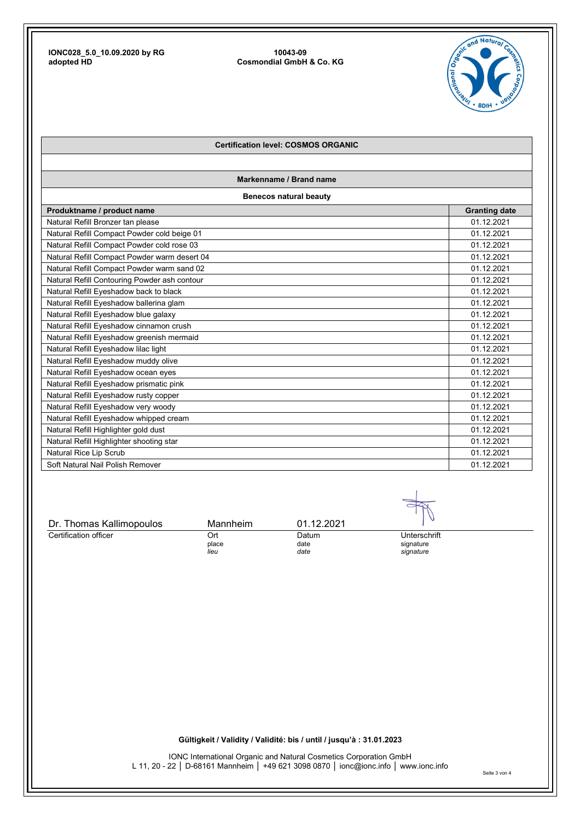

### **Certification level: COSMOS ORGANIC**

**Markenname / Brand name** 

**Benecos natural beauty** 

| Produktname / product name                   | <b>Granting date</b> |
|----------------------------------------------|----------------------|
| Natural Refill Bronzer tan please            | 01.12.2021           |
| Natural Refill Compact Powder cold beige 01  | 01.12.2021           |
| Natural Refill Compact Powder cold rose 03   | 01.12.2021           |
| Natural Refill Compact Powder warm desert 04 | 01.12.2021           |
| Natural Refill Compact Powder warm sand 02   | 01.12.2021           |
| Natural Refill Contouring Powder ash contour | 01.12.2021           |
| Natural Refill Eyeshadow back to black       | 01.12.2021           |
| Natural Refill Eyeshadow ballerina glam      | 01.12.2021           |
| Natural Refill Eyeshadow blue galaxy         | 01.12.2021           |
| Natural Refill Eyeshadow cinnamon crush      | 01.12.2021           |
| Natural Refill Eyeshadow greenish mermaid    | 01.12.2021           |
| Natural Refill Eyeshadow lilac light         | 01.12.2021           |
| Natural Refill Eyeshadow muddy olive         | 01.12.2021           |
| Natural Refill Eyeshadow ocean eyes          | 01.12.2021           |
| Natural Refill Eyeshadow prismatic pink      | 01.12.2021           |
| Natural Refill Eyeshadow rusty copper        | 01.12.2021           |
| Natural Refill Eyeshadow very woody          | 01.12.2021           |
| Natural Refill Eyeshadow whipped cream       | 01.12.2021           |
| Natural Refill Highlighter gold dust         | 01.12.2021           |
| Natural Refill Highlighter shooting star     | 01.12.2021           |
| Natural Rice Lip Scrub                       | 01.12.2021           |
| Soft Natural Nail Polish Remover             | 01.12.2021           |

| Dr. Thomas Kallimopoulos | Mannheim | 01.12.2021 |              |
|--------------------------|----------|------------|--------------|
| Certification officer    | Ort      | Datum      | Unterschrift |
|                          | place    | date       | signature    |
|                          | lieu     | date       | signature    |

**Gültigkeit / Validity / Validité: bis / until / jusqu'à : 31.01.2023**

IONC International Organic and Natural Cosmetics Corporation GmbH L 11, 20 - 22 │ D-68161 Mannheim │ +49 621 3098 0870 │ ionc@ionc.info │ www.ionc.info Seite 3 von 4

 $\mathcal{A}$